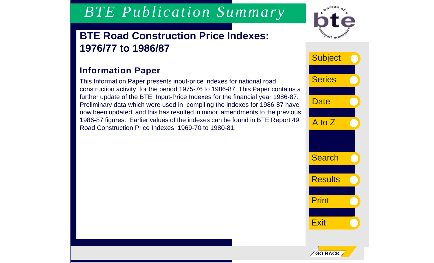# *BTE Publication Summary*

### **BTE Road Construction Price Indexes: 1976/77 to 1986/87**

### **Information Paper**

This Information Paper presents input-price indexes for national road construction activity for the period 1975-76 to 1986-87. This Paper contains a further update of the BTE Input-Price Indexes for the financial year 1986-87. Preliminary data which were used in compiling the indexes for 1986-87 have now been updated, and this has resulted in minor amendments to the previous 1986-87 figures. Earlier values of the indexes can be found in BTE Report 49, Road Construction Price Indexes 1969-70 to 1980-81.



**Date Search Results** Print **Subject Series** A to Z **Exit** 

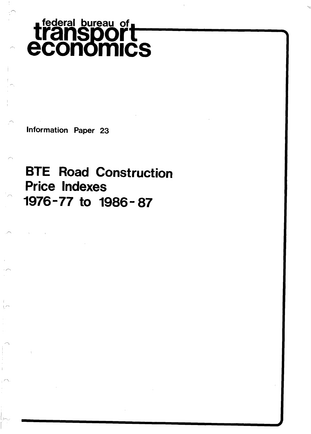## transport<br> **transport** economics **federal bureau of**

**Information Paper 23** 

 $\sim$ 

### **BTE Road Construction Price Indexes** "' **1976-77 to 1986- 87**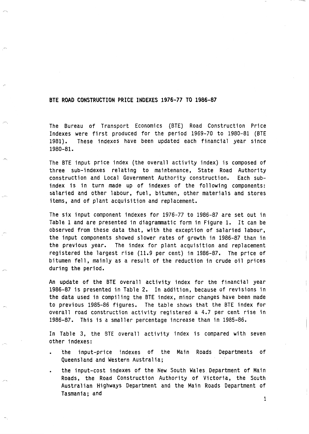#### **BTE ROAD CONSTRUCTION PRICE INDEXES 1976-77 TO 1986-87**

**i.**  . -.

 $\sim$ 

**The Bureau of Transport Economics (BTE) Road Construction Price Indexes were first produced for the period 1969-70 to 1980-81 (BTE 1981). These indexes have been updated each financial year since 1980-81.** 

**The BTE input price index (the overall activity index) is composed of three sub-indexes relating to maintenance, State Road Authority construction and Local Government Authority construction. Each subindex is in turn made up of indexes of the following components: salaried and other labour, fuel, bitumen, other materials and stores items, and of plant acquisition and replacement.** 

**The six input component indexes for 1976-77 to 1986-87 are set out in Table 1 and are presented in diagrammatic form in Figure 1. It can be observed from these data that, with the exception of salaried labour, the input components showed slower rates of growth in 1986-87 than in the previous year. The index for plant acquisition and replacement registered the largest rise (11.9 per cent) in 1986-87. The price of bitumen fell** , **mainly as a result of the reduction in crude oil prices during the period.** 

**An update of the BTE overall activity index for the financial year 1986-87 is presented in Table 2. In addition, because of revisions in the data used in compiling the BTE index, minor changes have been made to previous 1985-86 figures. The table shows that the BTE index for overall road construction activity registered a 4.7 per cent rise in 1986-87. This is a smaller percentage increase than in 1985-86.** 

**In Table 3, the BTE overall activity index is compared with seven other indexes:** 

- the input-price indexes of the Main Roads Departments of **Queensland and Western Australia;**
- . **the input-cost indexes of the New South Wales Department of Main Roads, the Road Construction Authority of Victoria, the South Australian Highways Department and the Main Roads Department of Tasmania; and**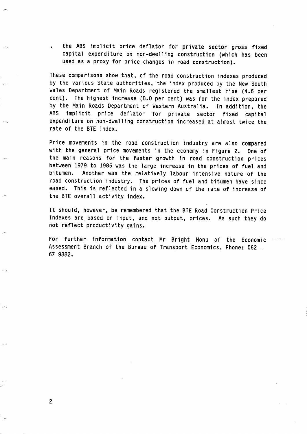the ABS implicit price deflator for private sector gross fixed **capital expenditure on non-dwelling construction (which has been used as a proxy for price changes in road construction).** 

**These comparisons show that, of the road construction indexes produced by the various State authorities, the index produced by the New South Wales Department of Main Roads registered the smallest rise (4.6 per cent). The highest increase (8.0 per cent) was for the index prepared by the Main Roads Department of Western Australia. In addition, the ABS implicit price deflator for private sector fixed capital expenditure on non-dwelling construction increased at almost twice the rate of the BTE index.** 

**Price movements in the road construction industry are also compared with the general price movements in the economy in Figure 2. One of the main reasons for the faster growth in road construction prices between 1979 to 1985 was the large increase in the prices of fuel and bitumen. Another was the relatively labour intensive nature of the road construction industry. The prices of fuel and bitumen have since eased. This is reflected in a slowing down of the rate of increase of the BTE overall activity index.** 

**It should, however, be remembered that the BTE Road Construction Price Indexes are. based on input, and not output, prices. As such they do not reflect productivity gains.** 

For further information contact Mr Bright Honu of the Economic **Assessment Branch of the Bureau of Transport Economics, Phone: 062** - **67 9882.**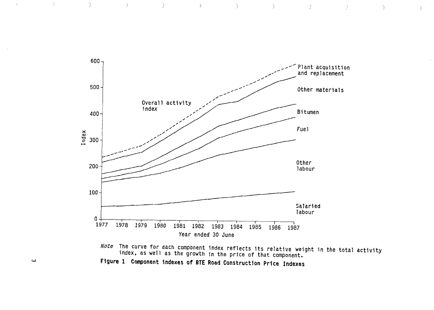

*Note* The curve for each component index reflects its relative weight in the total activity<br>index, as well as the growth in the price of that component. Figure 1 Component indexes of BTE Road Construction Price Indexes

 $\boldsymbol{\omega}$ 

 $\langle \cdot, \cdot \rangle$  ).

 $\bar{T}$ 

 $\rightarrow$ 

 $\overrightarrow{y}$ 

 $\bigcup$ 

 $\rightarrow$ 

 $\rightarrow$ 

 $\left\langle \left\langle \cdot ,\cdot \right\rangle \right\rangle$ 

 $\rightarrow$ 

 $\mathcal{N}=\sum_{i=1}^n\mathcal{N}_i$  .

 $\bigcap$ 

 $\mathcal{L}$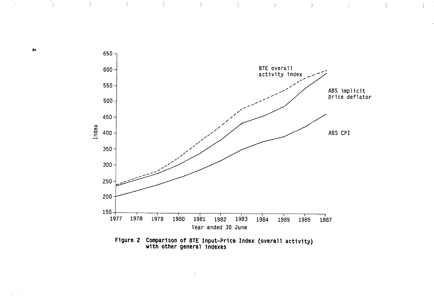

 $\rightarrow$ 

 $\frac{1}{2}$ 

 $\left\langle \right\rangle$ 

 $\mathcal{E}$ 

 $\lambda$ 

 $\mathcal{L}$ 



A

 $\overline{1}$ 

 $\left( \right)$ 

 $\rightarrow$ 

 $\left( \right)$ 

 $\rightarrow$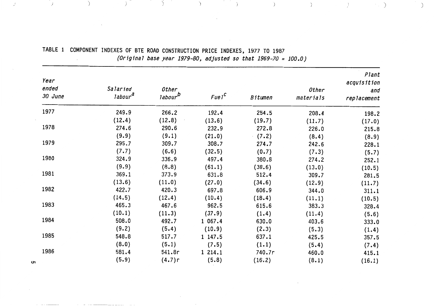| Year<br>ended<br>30 June | Salaried<br>labour <sup>d</sup> | Other<br>labour <sup>D</sup> | FueI <sup>C</sup> | Bitumen | Other     | Plant<br>acquisition<br>and |
|--------------------------|---------------------------------|------------------------------|-------------------|---------|-----------|-----------------------------|
|                          |                                 |                              |                   |         | materials | replacement                 |
| 1977                     | 249.9                           | 266.2                        | 192.4             | 254.5   | 208.4     | 198.2                       |
|                          | (12.4)                          | (12.8)                       | (13.6)            | (19.7)  | (11.7)    | (17.0)                      |
| 1978                     | 274.6                           | 290.6                        | 232.9             | 272.8   | 226.0     | 215.8                       |
|                          | (9.9)                           | (9.1)                        | (21.0)            | (7.2)   | (8.4)     | (8.9)                       |
| 1979                     | 295.7                           | 309.7                        | 308.7             | 274.7   | 242.6     | 228.1                       |
|                          | (7.7)                           | (6.6)                        | (32.5)            | (0.7)   | (7.3)     | (5.7)                       |
| 1980                     | 324.9                           | 336.9                        | 497.4             | 380.8   | 274.2     | 252.1                       |
|                          | (9.9)                           | (8.8)                        | (61.1)            | (38.6)  | (13.0)    | (10.5)                      |
| 1981                     | 369.1                           | 373.9                        | 631.8             | 512.4   | 309.7     | 281.5                       |
|                          | (13.6)                          | (11.0)                       | (27.0)            | (34.6)  | (12.9)    | (11.7)                      |
| 1982                     | 422.7                           | 420.3                        | 697.8             | 606.9   | 344.0     | 311.1                       |
|                          | (14.5)                          | (12.4)                       | (10.4)            | (18.4)  | (11.1)    | (10.5)                      |
| 1983                     | 465.3                           | 467.6                        | 962.5             | 615.6   | 383.3     | 328.4                       |
|                          | (10.1)                          | (11.3)                       | (37.9)            | (1.4)   | (11.4)    | (5.6)                       |
| 1984                     | 508.0                           | 492.7                        | 1 067.4           | 630.0   | 403.6     | 333.0                       |
|                          | (9.2)                           | (5.4)                        | (10.9)            | (2.3)   | (5.3)     | (1.4)                       |
| 1985                     | 548.8                           | 517.7                        | 1 147.5           | 637.1   | 425.5     | 357.5                       |
|                          | (8.0)                           | (5.1)                        | (7.5)             | (1.1)   | (5.4)     | (7.4)                       |
| 1986                     | 581.4                           | 541.8r                       | 1 214.1           | 740.7r  | 460.0     | 415.1                       |
|                          | (5.9)                           | (4.7)r                       | (5.8)             | (16.2)  | (8.1)     | (16.1)                      |

TABLE 1 COMPONENT INDEXES OF BTE ROAD CONSTRUCTION PRICE INDEXES, 1977 TO 1987 (Original base year 1979-80, adjusted so that  $1969 - 70 = 100.0$ )

 $\rightarrow$ 

 $\bigcup$ 

 $\begin{array}{c} \begin{array}{c} \end{array} \\ \end{array}$ 

 $\left\langle \cdot \right\rangle$ 

 $\left( \begin{array}{cc} \cdot & \cdot \\ \cdot & \cdot \end{array} \right)$ 

 $\rightarrow$ 

 $\overline{)}$ 

**ပ** 

 $\mathcal{A}$ 

∬y i

 $\rightarrow$ 

 $\rightarrow$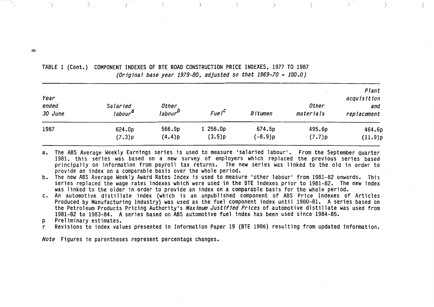| Year<br>ended<br>30 June | Salaried<br>labour <sup>a</sup> | Other<br>FueI <sup>C</sup><br>labour <sup>u</sup> |        | Bitumen | Other<br>materials | Plant<br>acquisition<br>and<br>replacement |  |
|--------------------------|---------------------------------|---------------------------------------------------|--------|---------|--------------------|--------------------------------------------|--|
| 1987                     | 624.0p                          | 566.9p                                            | 256.0p | 674.5p  | 495.6p             | 464.6p                                     |  |
|                          | (7.3)p                          | (4.4)p                                            | (3.5)p | (-8.9)p | (7.7)p             | (11.9)p                                    |  |

**TABLE 1 (Cont.) COMPONENT INDEXES OF BTE ROAD CONSTRUCTION PRICE INDEXES, 1977 TO 1987**  *(Original base year 1979-80, adjusted* **so** *that 1969-70* = *100.0)* 

 $\Delta$ 

 $\big)$ 

 $\rightarrow$ 

 $\left( \frac{1}{2} \right)$ 

 $\rightarrow$ 

- **a. The ABS Average Weekly Earnings series is used to measure 'salaried labour'. From the September quarter 1981, this series was based on a new survey of employers which replaced the previous series based principally on information from payroll tax returns. The new series was linked to the old in order to provide an index on a comparable basis over the whole period.**
- **b. The new ABS Average Weekly Award Rates Index is used to measure 'other labour' from 1981-82 onwards. This series replaced the wage rates indexes which were used in the BTE indexes prior to 1981-82. The new index was linked to the older in order to provide an index on acomparable basis for the whole period.**
- **c. An automotive distillate index (which is an unpublished component of ABS Price Indexes of Articles**  Produced by Manufacturing Industry) was used as the fuel component index until 1980-81. A series based on **the Petroleum Products Pricing Authority's** *Maximm Justified Prices* **of automotive distillate was used from 1981-82 to 1983-84. A series based on ABS automotive fuel index has been used since 1984-85.**
- **p Preliminary estimates.**

 $\Delta$ 

 $\rightarrow$ 

**r Revisions to index values presented in Information Paper 19 (BTE 1986) resulting from updated information.** 

*Note* **Figures in parentheses represent percentage changes.** 

თ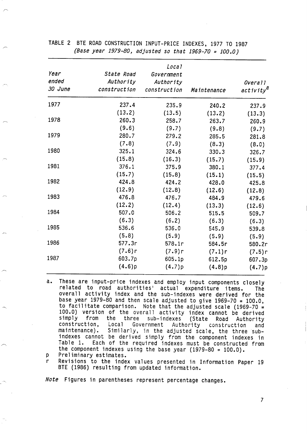| Year<br>ended<br>30 June | State Road<br>Authority<br>construction | Local<br>Government<br>Authority<br>construction | Maintenance | Overall<br>activity <sup>d</sup> |
|--------------------------|-----------------------------------------|--------------------------------------------------|-------------|----------------------------------|
| 1977                     | 237.4                                   | 235.9                                            | 240.2       | 237.9                            |
|                          | (13.2)                                  | (13.5)                                           | (13.2)      | (13.3)                           |
| 1978                     | 260.3                                   | 258.7                                            | 263.7       | 260.9                            |
|                          | (9.6)                                   | (9.7)                                            | (9.8)       | (9.7)                            |
| 1979                     | 280.7                                   | 279.2                                            | 285.5       | 281.8                            |
|                          | (7.8)                                   | (7.9)                                            | (8.3)       | (8.0)                            |
| 1980                     | 325.1                                   | 324.6                                            | 330.3       | 326.7                            |
|                          | (15.8)                                  | (16.3)                                           | (15.7)      | (15.9)                           |
| 1981                     | 376.1                                   | 375.9                                            | 380.1       | 377.4                            |
|                          | (15.7)                                  | (15.8)                                           | (15.1)      | (15.5)                           |
| 1982                     | 424.8                                   | 424.2                                            | 428.0       | 425.8                            |
|                          | (12.9)                                  | (12.8)                                           | (12.6)      | (12.8)                           |
| 1983                     | 476.8                                   | 476.7                                            | 484.9       | 479.6                            |
|                          | (12.2)                                  | (12.4)                                           | (13.3)      | (12.6)                           |
| 1984                     | 507.0                                   | 506.2                                            | 515.5       | 509.7                            |
|                          | (6.3)                                   | (6.2)                                            | (6.3)       | (6.3)                            |
| 1985                     | 536.6                                   | 536.0                                            | 545.9       | 539.8                            |
|                          | (5.8)                                   | (5.9)                                            | (5.9)       | (5.9)                            |
| 1986                     | 577.3r                                  | 578.1r                                           | 584.5r      | 580.2r                           |
|                          | (7.6)r                                  | (7.9)r                                           | (7.1)r      | (7.5)r                           |
| 1987                     | 603.7p                                  | 605.1p                                           | 612.5p      | 607.3p                           |
|                          | (4.6)p                                  | (4.7)p                                           | (4.8)p      | (4.7)p                           |

**TABLE 2 BTE ROAD CONSTRUCTION INPUT-PRICE INDEXES, 1977 TO 1987**  *(Base year 1979-80, adjusted* **so** *that 1969-70* = *100.0)* 

- a. These are input-price indexes and employ input components closely **related to road authorities' actual expenditure items. The overall activity index and the sub-indexes were derived for the base year 1979-80 and then scale adjusted to give 1969-70** = **100.0, to facilitate comparison. Note that the adjusted scale (1969-70** = **100.0) version of the overall activity index cannot be derived simply from the three sub-indexes (State Road Authority construction, Local Government Authority construction and**  maintenance). Similarly, in the adjusted scale, the three sub**indexes cannot be derived simply from the component indexes in**  Each of the required indexes must be constructed from the component indexes using the base year (1979-80 = 100.0).
- **p Preliminary estimates.**

 $\sim$ 

,-

*r-*

**BTE (1986) resulting from updated information. r Revisions to the index values presented in Information Paper 19** 

*Note* **Figures in parentheses represent percentage changes.**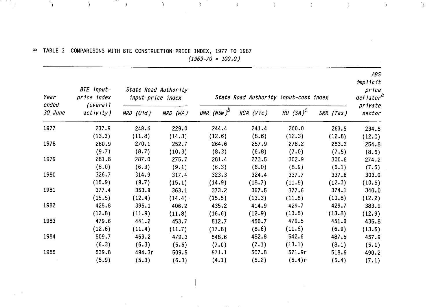### **TABLE 3 COMPARISONS WITH BTE CONSTRUCTION PRICE INDEX, 1977 TO 1987**  *(1969-70* = *100.0)*

 $\qquad \qquad$  )

 $\left( \begin{array}{cc} 0 & 1 \end{array} \right)$ 

 $\sim$ 

i i

 $\sim$  .

 $\mathcal{L}^{\mathcal{S}}$ 

 $\hspace{0.1cm}$  )

| Year<br>ended | BTE input-<br>price index |           | State Road Authority<br>input-price index<br>State Road Authority input-cost index |                        |           |             |           | ABS<br>implicit<br>price<br>$\textit{deflator}^{\textit{d}}$ |  |
|---------------|---------------------------|-----------|------------------------------------------------------------------------------------|------------------------|-----------|-------------|-----------|--------------------------------------------------------------|--|
| 30 June       | (overall)<br>activity)    | MRD (Qld) | MRD (WA)                                                                           | DMR (NSW) <sup>b</sup> | RCA (Vic) | HD $(SA)^C$ | DMR (Tas) | private<br>sector                                            |  |
| 1977          | 237.9                     | 248.5     | 229.0                                                                              | 244.4                  | 241.4     | 260.0       | 263.5     | 234.5                                                        |  |
|               | (13.3)                    | (11.8)    | (14.3)                                                                             | (12.6)                 | (8.6)     | (12.3)      | (12.8)    | (12.0)                                                       |  |
| 1978          | 260.9                     | 270.1     | 252.7                                                                              | 264.6                  | 257.9     | 278.2       | 283.3     | 254.8                                                        |  |
|               | (9.7)                     | (8.7)     | (10.3)                                                                             | (8.3)                  | (6.8)     | (7.0)       | (7.5)     | (8.6)                                                        |  |
| 1979          | 281.8                     | 287.0     | 275.7                                                                              | 281.4                  | 273.5     | 302.9       | 300.6     | 274.2                                                        |  |
|               | (8.0)                     | (6.3)     | (9.1)                                                                              | (6.3)                  | (6.0)     | (8.9)       | (6.1)     | (7.6)                                                        |  |
| 1980          | 326.7                     | 314.9     | 317.4                                                                              | 323.3                  | 324.4     | 337.7       | 337.6     | 303.0                                                        |  |
|               | (15.9)                    | (9.7)     | (15.1)                                                                             | (14.9)                 | (18.7)    | (11.5)      | (12.3)    | (10.5)                                                       |  |
| 1981          | 377.4                     | 353.9     | 363.1                                                                              | 373.2                  | 367.5     | 377.6       | 374.1     | 340.0                                                        |  |
|               | (15.5)                    | (12.4)    | (14.4)                                                                             | (15.5)                 | (13.3)    | (11.8)      | (10.8)    | (12.2)                                                       |  |
| 1982          | 425.8                     | 396.1     | 406.2                                                                              | 435.2                  | 414.9     | 429.7       | 429.7     | 383.9                                                        |  |
|               | (12.8)                    | (11.9)    | (11.8)                                                                             | (16.6)                 | (12.9)    | (13.8)      | (13.8)    | (12.9)                                                       |  |
| 1983          | 479.6                     | 441.2     | 453.7                                                                              | 512.7                  | 450.7     | 479.5       | 451.0     | 435.8                                                        |  |
|               | (12.6)                    | (11.4)    | (11.7)                                                                             | (17.8)                 | (8.6)     | (11.6)      | (6.9)     | (13.5)                                                       |  |
| 1984          | 509.7                     | 469.2     | 479.3                                                                              | 548.6                  | 482.8     | 542.6       | 487.5     | 457.9                                                        |  |
|               | (6.3)                     | (6.3)     | (5.6)                                                                              | (7.0)                  | (7.1)     | (13.1)      | (8.1)     | (5.1)                                                        |  |
| 1985          | 539.8                     | 494.3r    | 509.5                                                                              | 571.1                  | 507.8     | 571.9r      | 518.6     | 490.2                                                        |  |
|               | (5.9)                     | (5.3)     | (6.3)                                                                              | (4.1)                  | (5.2)     | (5.4)r      | (6.4)     | (7.1)                                                        |  |
|               |                           |           |                                                                                    |                        |           |             |           |                                                              |  |

 $\begin{pmatrix} 1 & 1 & 1 \\ 1 & 1 & 1 \\ 1 & 1 & 1 \end{pmatrix}$  (b) (b) (c) (c) (c)

*ABS* 

 $\hat{~}$ 

 $\sum_{i=1}^{n}$ 

 $\bigcup$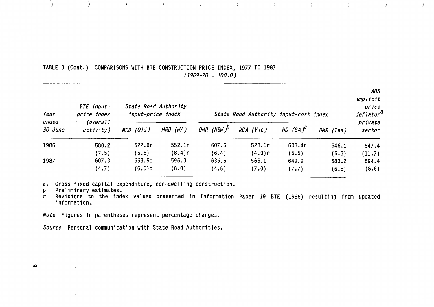| TABLE 3 (Cont.) COMPARISONS WITH BTE CONSTRUCTION PRICE INDEX, 1977 TO 1987 |  |                       |  |  |
|-----------------------------------------------------------------------------|--|-----------------------|--|--|
|                                                                             |  | $(1969 - 70 = 100.0)$ |  |  |

| Year<br>ended<br>30 June | BTE input-<br>price index<br>(overall<br>activity) | State Road Authority<br>input-price index |                          | State Road Authority input-cost index |                          |                         |                         | <b>ABS</b><br>implicit<br>price<br>deflator <sup>a</sup> |
|--------------------------|----------------------------------------------------|-------------------------------------------|--------------------------|---------------------------------------|--------------------------|-------------------------|-------------------------|----------------------------------------------------------|
|                          |                                                    | MRD (Q1d)                                 | MRD (WA)                 | DMR (NSW) $^{\prime\prime}$           | RCA (Vic)                | HD $(SA)^C$             | DMR (Tas)               | private<br>sector                                        |
| 1986                     | 580.2                                              | 522.0r                                    | 552.1r                   | 607.6                                 | 528.1r                   | 603.4r                  | 546.1                   | 547.4                                                    |
| 1987                     | (7.5)<br>607.3<br>(4.7)                            | (5.6)<br>553.5p<br>(6.0)p                 | (8.4)r<br>596.3<br>(8.0) | (6.4)<br>635.5<br>(4.6)               | (4.0)r<br>565.1<br>(7.0) | (5.5)<br>649.9<br>(7.7) | (5.3)<br>583.2<br>(6.8) | (11.7)<br>594.4<br>(8.6)                                 |

 $\qquad \qquad ) \qquad \qquad ) \qquad \qquad )$ 

 $\overline{\phantom{a}}$ 

 $\rightarrow$ 

 $\rightarrow$ 

 $\left( \right)$ 

 $\rightarrow$ 

**a. Gross fixed capital expenditure, non-dwelling construction.** 

**p Preliminary estimates.** 

**r Revisions to the index values presented in Information Paper 19 BTE (1986) resulting from updated information.** 

*Note* **Figures in parentheses represent percentage changes.** 

*Source* **Personal comunication with State Road Authorities.** 

 $\mathbf \omega$ 

 $\mathcal{L}_{\mathcal{A}}$ 

 $\rightarrow$ 

 $\rightarrow$ 

 $\begin{array}{c} \hline \end{array}$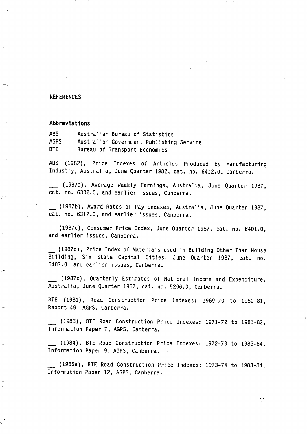#### **REFERENCES**

#### ,- **Abbreviations**

**ABS Australian Bureau of Statistics AGPS Australian Government Publishing Service BTE Bureau of Transport Economics** 

**ABS (1982)** , **Price Indexes of Articles Produced by Manufacturing Industry, Australia, June Quarter 1982, cat. no. 6412.0, Canberra.** 

- **(1987a), Average Weekly Earnings, Australia, June Quarter 1987, cat. no. 6302.0, and earlier issues, Canberra.** 

**(1987b), Award Rates of Pay Indexes, Australia, June Quarter 1987, cat. no. 6312.0, and earlier issues, Canberra.** 

- **(1987~)~ Consumer Price Index, June Quarter 1987, cat. no. 6401.0, and earl ier issues** , **Canberra.** 

- **(1987d), Price Index of Materials used in Building Other Than House Building, Six State Capital Cities, June Quarter 1987, cat. no. 6407.0, and earlier issues, Canberra.** 

- **(1987~)~ Quarterly Estimates of National Income and Expenditure, Australia, June Quarter 1987, cat. no. 5206.0, Canberra.** 

**BTE (1981), Road Construction Price Indexes: 1969-70 to 1980-81, Report 49, AGPS, Canberra.** 

- **(1983), BTE Road Construction Price Indexes: 1971-72 to 1981-82, Information Paper 7, AGPS, Canberra.** 

- **(1984), BTE Road Construction Price Indexes: 1972-73 to 1983-84, Information Paper 9, AGPS, Canberra.** 

- **(1985a), BTE Road Construction Price Indexes: 1973-74 to 1983-84, Information Paper 12, AGPS, Canberra.**